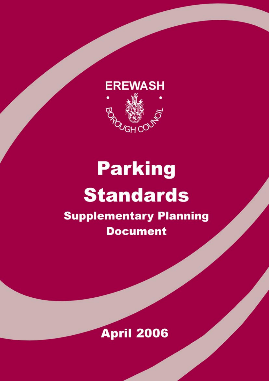

# **Parking Standards**

**Supplementary Planning Document** 

# **April 2006**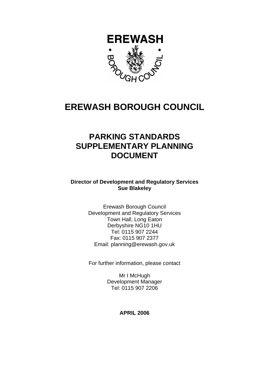

### **EREWASH BOROUGH COUNCIL**

### **PARKING STANDARDS SUPPLEMENTARY PLANNING DOCUMENT**

**Director of Development and Regulatory Services Sue Blakeley** 

> Erewash Borough Council Development and Regulatory Services Town Hall, Long Eaton Derbyshire NG10 1HU Tel: 0115 907 2244 Fax: 0115 907 2377 Email: planning@erewash.gov.uk

> For further information, please contact

Mr I McHugh Development Manager Tel: 0115 907 2206

**APRIL 2006**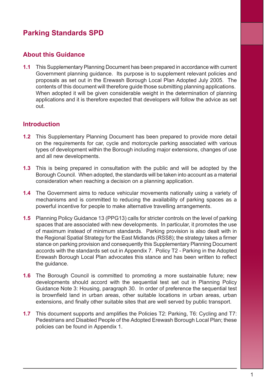### **About this Guidance**

**1.1** This Supplementary Planning Document has been prepared in accordance with current Government planning guidance. Its purpose is to supplement relevant policies and proposals as set out in the Erewash Borough Local Plan Adopted July 2005. The contents of this document will therefore guide those submitting planning applications. When adopted it will be given considerable weight in the determination of planning applications and it is therefore expected that developers will follow the advice as set out.

#### **Introduction**

- **1.2** This Supplementary Planning Document has been prepared to provide more detail on the requirements for car, cycle and motorcycle parking associated with various types of development within the Borough including major extensions, changes of use and all new developments.
- **1.3** This is being prepared in consultation with the public and will be adopted by the Borough Council. When adopted, the standards will be taken into account as a material consideration when reaching a decision on a planning application.
- **1.4** The Government aims to reduce vehicular movements nationally using a variety of mechanisms and is committed to reducing the availability of parking spaces as a powerful incentive for people to make alternative travelling arrangements.
- **1.5** Planning Policy Guidance 13 (PPG13) calls for stricter controls on the level of parking spaces that are associated with new developments. In particular, it promotes the use of maximum instead of minimum standards. Parking provision is also dealt with in the Regional Spatial Strategy for the East Midlands (RSS8); the strategy takes a firmer stance on parking provision and consequently this Supplementary Planning Document accords with the standards set out in Appendix 7. Policy T2 - Parking in the Adopted Erewash Borough Local Plan advocates this stance and has been written to reflect the guidance.
- **1.6** The Borough Council is committed to promoting a more sustainable future; new developments should accord with the sequential test set out in Planning Policy Guidance Note 3: Housing, paragraph 30. In order of preference the sequential test is brownfield land in urban areas, other suitable locations in urban areas, urban extensions, and finally other suitable sites that are well served by public transport.
- **1.7** This document supports and amplifies the Policies T2: Parking, T6: Cycling and T7: Pedestrians and Disabled People of the Adopted Erewash Borough Local Plan; these policies can be found in Appendix 1.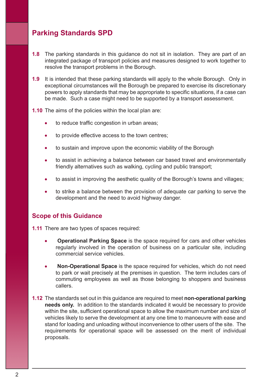- **1.8** The parking standards in this guidance do not sit in isolation. They are part of an integrated package of transport policies and measures designed to work together to resolve the transport problems in the Borough.
- **1.9** It is intended that these parking standards will apply to the whole Borough. Only in exceptional circumstances will the Borough be prepared to exercise its discretionary powers to apply standards that may be appropriate to specific situations, if a case can be made. Such a case might need to be supported by a transport assessment.
- **1.10** The aims of the policies within the local plan are:
	- to reduce traffic congestion in urban areas;
	- to provide effective access to the town centres;
	- to sustain and improve upon the economic viability of the Borough
	- to assist in achieving a balance between car based travel and environmentally friendly alternatives such as walking, cycling and public transport;
	- to assist in improving the aesthetic quality of the Borough's towns and villages;
	- to strike a balance between the provision of adequate car parking to serve the development and the need to avoid highway danger.

#### **Scope of this Guidance**

- **1.11** There are two types of spaces required:
	- **Operational Parking Space** is the space required for cars and other vehicles regularly involved in the operation of business on a particular site, including commercial service vehicles.
	- **Non-Operational Space** is the space required for vehicles, which do not need to park or wait precisely at the premises in question. The term includes cars of commuting employees as well as those belonging to shoppers and business callers.
- **1.12** The standards set out in this guidance are required to meet **non-operational parking needs only.** In addition to the standards indicated it would be necessary to provide within the site, sufficient operational space to allow the maximum number and size of vehicles likely to serve the development at any one time to manoeuvre with ease and stand for loading and unloading without inconvenience to other users of the site. The requirements for operational space will be assessed on the merit of individual proposals.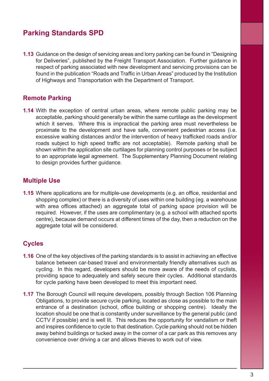**1.13** Guidance on the design of servicing areas and lorry parking can be found in "Designing for Deliveries", published by the Freight Transport Association. Further guidance in respect of parking associated with new development and servicing provisions can be found in the publication "Roads and Traffic in Urban Areas" produced by the Institution of Highways and Transportation with the Department of Transport.

### **Remote Parking**

**1.14** With the exception of central urban areas, where remote public parking may be acceptable, parking should generally be within the same curtilage as the development which it serves. Where this is impractical the parking area must nevertheless be proximate to the development and have safe, convenient pedestrian access (i.e. excessive walking distances and/or the intervention of heavy trafficked roads and/or roads subject to high speed traffic are not acceptable). Remote parking shall be shown within the application site curtilages for planning control purposes or be subject to an appropriate legal agreement. The Supplementary Planning Document relating to design provides further guidance.

### **Multiple Use**

**1.15** Where applications are for multiple-use developments (e.g. an office, residential and shopping complex) or there is a diversity of uses within one building (eg. a warehouse with area offices attached) an aggregate total of parking space provision will be required. However, if the uses are complimentary (e.g. a school with attached sports centre), because demand occurs at different times of the day, then a reduction on the aggregate total will be considered.

### **Cycles**

- **1.16** One of the key objectives of the parking standards is to assist in achieving an effective balance between car-based travel and environmentally friendly alternatives such as cycling. In this regard, developers should be more aware of the needs of cyclists, providing space to adequately and safely secure their cycles. Additional standards for cycle parking have been developed to meet this important need.
- **1.17** The Borough Council will require developers, possibly through Section 106 Planning Obligations, to provide secure cycle parking, located as close as possible to the main entrance of a destination (school, office building or shopping centre). Ideally the location should be one that is constantly under surveillance by the general public (and CCTV if possible) and is well lit. This reduces the opportunity for vandalism or theft and inspires confidence to cycle to that destination. Cycle parking should not be hidden away behind buildings or tucked away in the corner of a car park as this removes any convenience over driving a car and allows thieves to work out of view.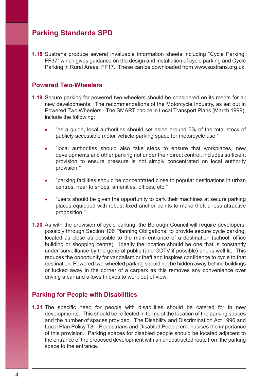**1.18** Sustrans produce several invaluable information sheets including "Cycle Parking: FF37" which gives guidance on the design and installation of cycle parking and Cycle Parking in Rural Areas: FF17. These can be downloaded from www.sustrans.org.uk.

#### **Powered Two-Wheelers**

- **1.19** Secure parking for powered two-wheelers should be considered on its merits for all new developments. The recommendations of the Motorcycle Industry, as set out in Powered Two Wheelers - The SMART choice in Local Transport Plans (March 1999), include the following:
	- "as a guide, local authorities should set aside around 5% of the total stock of publicly accessible motor vehicle parking space for motorcycle use."
	- "local authorities should also take steps to ensure that workplaces, new developments and other parking not under their direct control, includes sufficient provision to ensure pressure is not simply concentrated on local authority provision."
	- "parking facilities should be concentrated close to popular destinations in urban centres, near to shops, amenities, offices, etc."
	- "users should be given the opportunity to park their machines at secure parking places equipped with robust fixed anchor points to make theft a less attractive proposition."
- **1.20** As with the provision of cycle parking, the Borough Council will require developers, possibly through Section 106 Planning Obligations, to provide secure cycle parking, located as close as possible to the main entrance of a destination (school, office building or shopping centre). Ideally the location should be one that is constantly under surveillance by the general public (and CCTV if possible) and is well lit. This reduces the opportunity for vandalism or theft and inspires confidence to cycle to that destination. Powered two-wheeled parking should not be hidden away behind buildings or tucked away in the corner of a carpark as this removes any convenience over driving a car and allows thieves to work out of view.

#### **Parking for People with Disabilities**

**1.21** The specific need for people with disabilities should be catered for in new developments. This should be reflected in terms of the location of the parking spaces and the number of spaces provided. The Disability and Discrimination Act 1996 and Local Plan Policy T8 – Pedestrians and Disabled People emphasises the importance of this provision. Parking spaces for disabled people should be located adjacent to the entrance of the proposed development with an unobstructed route from the parking space to the entrance.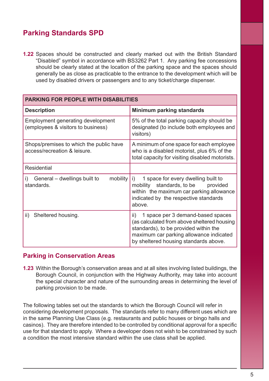**1.22** Spaces should be constructed and clearly marked out with the British Standard "Disabled" symbol in accordance with BS3262 Part 1. Any parking fee concessions should be clearly stated at the location of the parking space and the spaces should generally be as close as practicable to the entrance to the development which will be used by disabled drivers or passengers and to any ticket/charge dispenser.

| PARKING FOR PEOPLE WITH DISABILITIES                                           |                                                                                                                                                                                                                      |
|--------------------------------------------------------------------------------|----------------------------------------------------------------------------------------------------------------------------------------------------------------------------------------------------------------------|
| <b>Description</b>                                                             | <b>Minimum parking standards</b>                                                                                                                                                                                     |
| <b>Employment generating development</b><br>(employees & visitors to business) | 5% of the total parking capacity should be<br>designated (to include both employees and<br>visitors)                                                                                                                 |
| Shops/premises to which the public have<br>access/recreation & leisure.        | A minimum of one space for each employee<br>who is a disabled motorist, plus 6% of the<br>total capacity for visiting disabled motorists.                                                                            |
| <b>Residential</b>                                                             |                                                                                                                                                                                                                      |
| General - dwellings built to<br>mobility<br>i)<br>standards.                   | 1 space for every dwelling built to<br>i)<br>standards, to be<br>mobility<br>provided<br>within the maximum car parking allowance<br>indicated by the respective standards<br>above.                                 |
| Sheltered housing.<br>ii)                                                      | 1 space per 3 demand-based spaces<br>ii)<br>(as calculated from above sheltered housing<br>standards), to be provided within the<br>maximum car parking allowance indicated<br>by sheltered housing standards above. |

#### **Parking in Conservation Areas**

**1.23** Within the Borough's conservation areas and at all sites involving listed buildings, the Borough Council, in conjunction with the Highway Authority, may take into account the special character and nature of the surrounding areas in determining the level of parking provision to be made.

The following tables set out the standards to which the Borough Council will refer in considering development proposals. The standards refer to many different uses which are in the same Planning Use Class (e.g. restaurants and public houses or bingo halls and casinos). They are therefore intended to be controlled by conditional approval for a specific use for that standard to apply. Where a developer does not wish to be constrained by such a condition the most intensive standard within the use class shall be applied.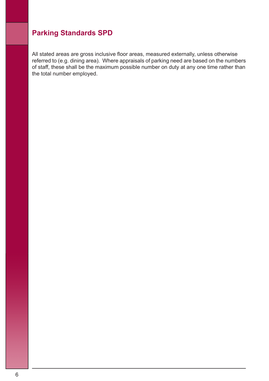All stated areas are gross inclusive floor areas, measured externally, unless otherwise referred to (e.g. dining area). Where appraisals of parking need are based on the numbers of staff, these shall be the maximum possible number on duty at any one time rather than the total number employed.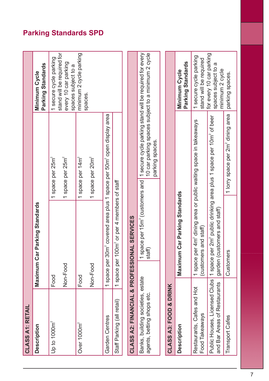| CLASS A1: RETAIL                                                |                                                                                                       |                                                                                                                                  |                                                                    |
|-----------------------------------------------------------------|-------------------------------------------------------------------------------------------------------|----------------------------------------------------------------------------------------------------------------------------------|--------------------------------------------------------------------|
| <b>Description</b>                                              | Parking Standards<br>Maximum Car                                                                      |                                                                                                                                  | Parking Standards<br>Minimum Cycle                                 |
| Up to $1000m^2$                                                 | Food                                                                                                  | 1 space per 25m <sup>2</sup>                                                                                                     | stand will be required for<br>1 secure cycle parking               |
|                                                                 | Non-Food                                                                                              | 1 space per 25m <sup>2</sup>                                                                                                     | every 10 car parking<br>spaces subject to a                        |
| Over 1000m <sup>2</sup>                                         | Food                                                                                                  | 1 space per 14m <sup>2</sup>                                                                                                     | minimum 2 cycle parking<br>spaces.                                 |
|                                                                 | Non-Food                                                                                              | 1 space per 20m <sup>2</sup>                                                                                                     |                                                                    |
| Garden Centres                                                  | 1 space per 30m <sup>2</sup> covered area plus 1 space per 50m <sup>2</sup> open display area         |                                                                                                                                  |                                                                    |
| Staff Parking (all retail)                                      | space per 100m <sup>2</sup> or per 4 members of staff<br>$\overline{ }$                               |                                                                                                                                  |                                                                    |
| <b>CLASS A2: FINANCIAL &amp; PROFESSION</b>                     | AL SERVICES                                                                                           |                                                                                                                                  |                                                                    |
| Banks, building societies, estate<br>agents, betting shops etc. | 1 space per 15m <sup>2</sup> (customers and<br>staff)                                                 | 10 car parking spaces subject to a minimum 2 cycle<br>1 secure cycle parking stand will be required for every<br>parking spaces. |                                                                    |
| <b>CLASS A3: FOOD &amp; DRINK</b>                               |                                                                                                       |                                                                                                                                  |                                                                    |
|                                                                 |                                                                                                       |                                                                                                                                  |                                                                    |
| <b>Description</b>                                              | Car Parking Standards<br>Maximum                                                                      |                                                                                                                                  | Parking Standards<br>Minimum Cycle                                 |
| Restaurants, Cafes and Hot<br>Food Takeaways                    | 1 space per 4m <sup>2</sup> dining area or public waiting space in takeaways<br>(customers and staff) |                                                                                                                                  | 1 secure cycle parking<br>stand will be required                   |
| Public Houses, Licensed Clubs<br>and Bar Areas of Restaurants   | garden (customers and staff)                                                                          | 1 space per 2m <sup>2</sup> public drinking area plus 1 space per 10m <sup>2</sup> of beer                                       | for every 10 car parking<br>spaces subject to a<br>minimum 2 cycle |
| <b>Transport Cafes</b>                                          | Customers                                                                                             | 1 lorry space per 2m <sup>2</sup> dining area                                                                                    | parking spaces                                                     |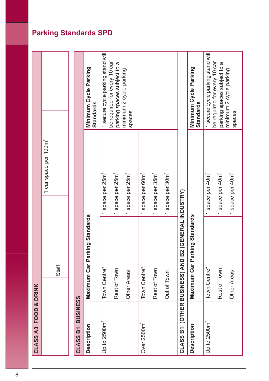| <b>CLASS A3: FOOD &amp; DRINK</b> |                                                      |                                   |                                                                   |
|-----------------------------------|------------------------------------------------------|-----------------------------------|-------------------------------------------------------------------|
|                                   |                                                      | 1 car space per 100m <sup>2</sup> |                                                                   |
|                                   | Staff                                                |                                   |                                                                   |
|                                   |                                                      |                                   |                                                                   |
| <b>CLASS B1: BUSINESS</b>         |                                                      |                                   |                                                                   |
| Description                       | Maximum Car Parking Standards                        |                                   | Minimum Cycle Parking<br>Standards                                |
| Up to $2500m^2$                   | Town Centre*                                         | 1 space per 25m <sup>2</sup>      | 1 secure cycle parking stand will<br>be required for every 10 car |
|                                   | Rest of Town                                         | 1 space per 25m <sup>2</sup>      | parking spaces subject to a                                       |
|                                   | Other Areas                                          | 1 space per 25m <sup>2</sup>      | minimum 2 cycle parking<br>spaces.                                |
| Over 2500m <sup>2</sup>           | Town Centre*                                         | 1 space per 60m <sup>2</sup>      |                                                                   |
|                                   | Rest of Town                                         | 1 space per 35m <sup>2</sup>      |                                                                   |
|                                   | Out of Town                                          | 1 space per 30m <sup>2</sup>      |                                                                   |
|                                   | CLASS B1: (OTHER BUSINESS) AND B2 (GENERAL INDUSTRY) |                                   |                                                                   |
| <b>Description</b>                | Maximum Car Parking Standards                        |                                   | Minimum Cycle Parking<br>Standards                                |
| Up to 2500m <sup>2</sup>          | Town Centre*                                         | 1 space per 40m <sup>2</sup>      | 1 secure cycle parking stand will<br>be required for every 10 car |
|                                   | Rest of Town                                         | 1 space per 40m <sup>2</sup>      | parking spaces subject to a                                       |
|                                   | Other Areas                                          | 1 space per 40m <sup>2</sup>      | minimum 2 cycle parking<br>spaces.                                |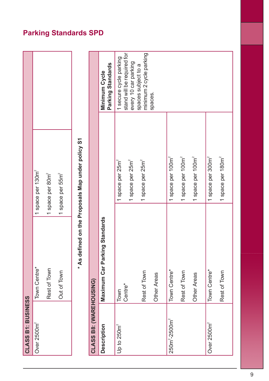| CLASS B1: BUSINESS      |                               |                                                                |                                                                              |
|-------------------------|-------------------------------|----------------------------------------------------------------|------------------------------------------------------------------------------|
| Over 2500m <sup>2</sup> | Town Centre*                  | 1 space per 130m <sup>2</sup>                                  |                                                                              |
|                         | Rest of Town                  | 1 space per 80m <sup>2</sup>                                   |                                                                              |
|                         | Out of Town                   | 1 space per 55m <sup>2</sup>                                   |                                                                              |
|                         |                               | * As defined on the Proposals Map under policy S1              |                                                                              |
| CLASS B8: (WAREHOUSING) |                               |                                                                |                                                                              |
| <b>Description</b>      | Maximum Car Parking Standards |                                                                | Parking Standards<br>Minimum Cycle                                           |
| Up to 250m <sup>2</sup> | Centre*<br>Town               | 1 space per 25m <sup>2</sup><br>1 space per 25m <sup>2</sup>   | stand will be required for<br>1 secure cycle parking<br>every 10 car parking |
|                         | Rest of Town<br>Other Areas   | 1 space per 25m <sup>2</sup>                                   | minimum 2 cycle parking<br>spaces subject to a<br>spaces.                    |
| $250m^2 - 2500m^2$      | Town Centre*<br>Rest of Town  | 1 space per 100m <sup>2</sup><br>1 space per 100m <sup>2</sup> |                                                                              |
|                         | Other Areas                   | 1 space per 100m <sup>2</sup>                                  |                                                                              |
| Over 2500m <sup>2</sup> | Town Centre*                  | 1 space per 300m <sup>2</sup>                                  |                                                                              |
|                         | Rest of Town                  | 1 space per 180m <sup>2</sup>                                  |                                                                              |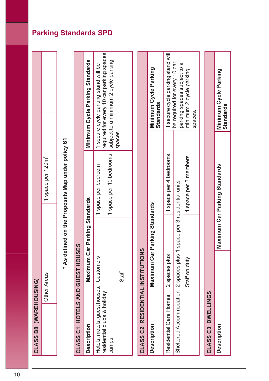| CLASS B8: (WAREHOUSING)                                               |                                           |                                 |                                                            |                                                                                                                                     |
|-----------------------------------------------------------------------|-------------------------------------------|---------------------------------|------------------------------------------------------------|-------------------------------------------------------------------------------------------------------------------------------------|
|                                                                       | Other Areas                               |                                 | 1 space per 120m <sup>2</sup>                              |                                                                                                                                     |
|                                                                       |                                           |                                 | * As defined on the Proposals Map under policy S1          |                                                                                                                                     |
|                                                                       | CLASS C1: HOTELS AND GUEST HOUSES         |                                 |                                                            |                                                                                                                                     |
| <b>Description</b>                                                    |                                           | Maximum Car Parking Standards   |                                                            | Minimum Cycle Parking Standards                                                                                                     |
| Hotels, motels, guest houses,<br>residential clubs & holiday<br>camps | Customers                                 |                                 | 1 space per 10 bedrooms<br>space per bedroom<br>$\ddot{ }$ | required for every 10 car parking spaces<br>subject to a minimum 2 cycle parking<br>1 secure cycle parking stand will be<br>spaces. |
|                                                                       | Staff                                     |                                 |                                                            |                                                                                                                                     |
|                                                                       | <b>CLASS C2: RESIDENTIAL INSTITUTIONS</b> |                                 |                                                            |                                                                                                                                     |
| <b>Description</b>                                                    | <b>Maximum Ca</b>                         | r Parking Standards             |                                                            | Minimum Cycle Parking<br>Standards                                                                                                  |
| Residential Care Homes                                                | 2 spaces plus                             |                                 | 1 space per 4 bedrooms                                     | 1 secure cycle parking stand will                                                                                                   |
|                                                                       | Sheltered Accommodation   2 spaces plus   | 1 space per 3 residential units |                                                            | be required for every 10 car<br>parking spaces subject to a                                                                         |
|                                                                       | Staff on duty                             |                                 | 1 space per 2 members                                      | minimum 2 cycle parking<br>spaces.                                                                                                  |
|                                                                       |                                           |                                 |                                                            |                                                                                                                                     |
| CLASS C3: DWELLINGS                                                   |                                           |                                 |                                                            |                                                                                                                                     |
| <b>Description</b>                                                    |                                           |                                 | Maximum Car Parking Standards                              | Minimum Cycle Parking<br>Standards                                                                                                  |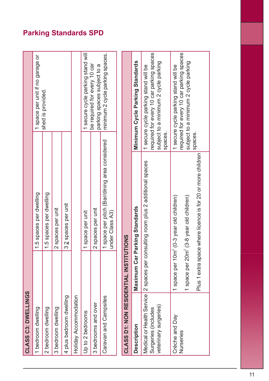| CLASS C3: DWELLINGS                         |             |                                                                                                                                                                             |                                                                                                                                     |  |
|---------------------------------------------|-------------|-----------------------------------------------------------------------------------------------------------------------------------------------------------------------------|-------------------------------------------------------------------------------------------------------------------------------------|--|
| 1 bedroom dwelling                          |             | 1.5 spaces per dwelling                                                                                                                                                     | 1 space per unit if no garage or                                                                                                    |  |
| 2 bedroom dwelling                          |             | 1.5 spaces per dwelling                                                                                                                                                     | shed is provided.                                                                                                                   |  |
| 3 bedroom dwelling                          |             | 2 spaces per unit                                                                                                                                                           |                                                                                                                                     |  |
| 4 plus bedroom dwelling                     |             | 3 2 spaces per unit                                                                                                                                                         |                                                                                                                                     |  |
| Holiday Accommodation                       |             |                                                                                                                                                                             |                                                                                                                                     |  |
| Up to 2 bedrooms                            |             | 1 space per unit                                                                                                                                                            | 1 secure cycle parking stand will                                                                                                   |  |
| 3 bedrooms and over                         |             | 2 spaces per unit                                                                                                                                                           | be required for every 10 car<br>parking spaces subject to a                                                                         |  |
| Caravan and Campsites                       |             | 1 space per pitch (Bar/dining area considered<br>under Class A3)                                                                                                            | minimum 2 cycle parking spaces.                                                                                                     |  |
|                                             |             |                                                                                                                                                                             |                                                                                                                                     |  |
| <b>CLASS D1: NON RESIDENTIAL INSTITU</b>    |             | <b>JTIONS</b>                                                                                                                                                               |                                                                                                                                     |  |
| <b>Description</b>                          | Maximum Car | Parking Standards                                                                                                                                                           | Minimum Cycle Parking Standards                                                                                                     |  |
| veterinary surgeries<br>Surgeries (includes |             | Medical or Health Service   2 spaces per consulting room plus 2 additional spaces                                                                                           | required for every 10 car parking spaces<br>subject to a minimum 2 cycle parking<br>1 secure cycle parking stand will be<br>spaces. |  |
| Crèche and Day<br>Nurseries                 |             | Plus 1 extra space where licence is for 20 or more children<br>1 space per 20m <sup>2</sup> (3-8 year old children)<br>1 space per 10m <sup>2</sup> (0-3 year old children) | required for every 10 car parking spaces<br>subject to a minimum 2 cycle parking<br>1 secure cycle parking stand will be<br>spaces. |  |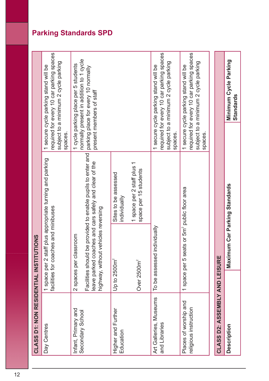| <b>CLASS D1: NON RESIDENTIAL INSTITUTIONS</b>  |                                                                                                      |                                                          |                                                                                                                                                    |
|------------------------------------------------|------------------------------------------------------------------------------------------------------|----------------------------------------------------------|----------------------------------------------------------------------------------------------------------------------------------------------------|
| Day Centres                                    | facilities for coaches and minibuses                                                                 | 1 space per 2 staff plus appropriate turning and parking | required for every 10 car parking spaces<br>subject to a minimum 2 cycle parking<br>1 secure cycle parking stand will be<br>spaces.                |
| Infant, Primary and<br>Secondary School        | leave parked coaches and cars safely and clear of the<br>2 spaces per classroom<br>Facilities should | be provided to enable pupils to enter and                | normally present in addition to 1 cycle<br>1 cycle parking place per 5 students<br>parking place for every 10 normally<br>present members of staff |
|                                                | highway, without vehicles reversing                                                                  |                                                          |                                                                                                                                                    |
| Higher and Further<br>Education                | Up to $2500m^2$                                                                                      | Sites to be assessed<br>individually                     |                                                                                                                                                    |
|                                                | Over 2500m <sup>2</sup>                                                                              | 1 space per 2 staff plus 1<br>space per 15 students      |                                                                                                                                                    |
| Art Galleries, Museums<br>and Libraries        | individually<br>To be assessed                                                                       |                                                          | required for every 10 car parking spaces<br>subject to a minimum 2 cycle parking<br>1 secure cycle parking stand will be<br>spaces.                |
| Places of worship and<br>religious instruction | 1 space per 5 seats or 5m <sup>2</sup> public floor area                                             |                                                          | required for every 10 car parking spaces<br>subject to a minimum 2 cycle parking<br>1 secure cycle parking stand will be<br>spaces                 |
|                                                |                                                                                                      |                                                          |                                                                                                                                                    |
| <b>CLASS D2: ASSEMBLY AND LEISURE</b>          |                                                                                                      |                                                          |                                                                                                                                                    |
| <b>Description</b>                             | Maximum Car Parking Standards                                                                        |                                                          | Minimum Cycle Parking<br>Standards                                                                                                                 |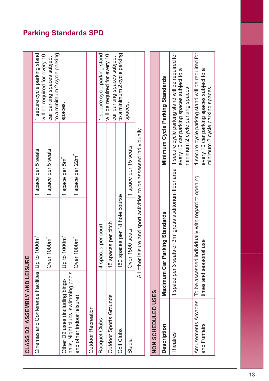| CLASS D2: ASSEMBLY AND LEISURE                                  |                   |                                                                              |                              |                                 |                                                                                               |
|-----------------------------------------------------------------|-------------------|------------------------------------------------------------------------------|------------------------------|---------------------------------|-----------------------------------------------------------------------------------------------|
| Cinemas and Conference Facilities   Up to                       |                   | 1000m <sup>2</sup>                                                           | 1 space per 5 seats          |                                 | 1 secure cycle parking stand                                                                  |
|                                                                 |                   | 1000m <sup>2</sup><br>Over 1                                                 | 1 space per 5 seats          |                                 | to a minimum 2 cycle parking<br>will be required for every 10<br>car parking spaces subject   |
| Other D2 uses (including bingo                                  |                   | 1000m <sup>2</sup><br>op to                                                  | 1 space per 5m <sup>2</sup>  |                                 | spaces.                                                                                       |
| halls, Night clubs, swimming pools<br>and other indoor leisure) |                   | 1000m <sup>2</sup><br>Over <sub>1</sub>                                      | 1 space per 22m <sup>2</sup> |                                 |                                                                                               |
| <b>Outdoor Recreation</b>                                       |                   |                                                                              |                              |                                 |                                                                                               |
| Racquet Clubs                                                   |                   | 4 spaces per court                                                           |                              |                                 | 1 secure cycle parking stand                                                                  |
| Outdoor Sports Grounds                                          |                   | 15 spaces per pitch                                                          |                              |                                 | will be required for every 10<br>car parking spaces subject                                   |
| Golf Clubs                                                      |                   | 150 spaces per 18 hole course                                                |                              |                                 | to a minimum 2 cycle parking                                                                  |
| Stadia                                                          |                   | 500 seats<br>Over <sub>1</sub>                                               | 1 space per 15 seats         |                                 | spaces                                                                                        |
|                                                                 |                   | All other leisure and sport activities to be assessed individually           |                              |                                 |                                                                                               |
| NON SCHEDULED USES                                              |                   |                                                                              |                              |                                 |                                                                                               |
| <b>Description</b>                                              |                   | Maximum Car Parking Standards                                                |                              |                                 | Minimum Cycle Parking Standards                                                               |
| <b>Theatres</b>                                                 | 1 space per 3 sea | ts or 3m <sup>2</sup> gross auditorium floor area                            |                              | minimum 2 cycle parking spaces. | 1 secure cycle parking stand will be required for<br>every 10 car parking spaces subject to a |
| Amusements Arcades<br>and Funfairs                              |                   | To be assessed individually with regard to opening<br>times and seasonal use |                              | minimum 2 cycle parking spaces. | 1 secure cycle parking stand will be required for<br>every 10 car parking spaces subject to a |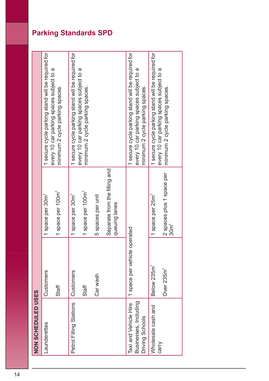| NON SCHEDULED USES                                                |                                         |                                                                               |                                                                                                                                  |
|-------------------------------------------------------------------|-----------------------------------------|-------------------------------------------------------------------------------|----------------------------------------------------------------------------------------------------------------------------------|
| Launderettes                                                      | Customers                               | 1 space per 30m <sup>2</sup>                                                  | 1 secure cycle parking stand will be required for                                                                                |
|                                                                   | Staff                                   | 1 space per 100m <sup>2</sup>                                                 | every 10 car parking spaces subject to a<br>minimum 2 cycle parking spaces.                                                      |
| Petrol Filling Stations                                           | Customers                               | 1 space per 30m <sup>2</sup>                                                  | 1 secure cycle parking stand will be required for                                                                                |
|                                                                   | Staff                                   | 1 space per 100m <sup>2</sup>                                                 | every 10 car parking spaces subject to a<br>minimum 2 cycle parking spaces.                                                      |
|                                                                   | Car wash                                | 5 spaces per unit                                                             |                                                                                                                                  |
|                                                                   |                                         | Separate from the filling and<br>queuing lanes                                |                                                                                                                                  |
| Businesses, Including<br>Taxi and Vehicle Hire<br>Driving Schools | 1 space per vehicle operated            |                                                                               | 1 secure cycle parking stand will be required for<br>every 10 car parking spaces subject to a<br>minimum 2 cycle parking spaces. |
| Wholesale cash and<br>carry                                       | Below 235m <sup>2</sup><br>Over $235m2$ | 2 spaces plus 1 space per<br>1 space per 25m <sup>2</sup><br>30m <sup>2</sup> | 1 secure cycle parking stand will be required for<br>every 10 car parking spaces subject to a<br>minimum 2 cycle parking spaces. |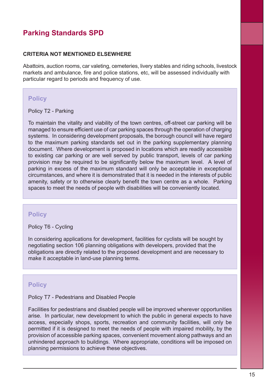#### **CRITERIA NOT MENTIONED ELSEWHERE**

Abattoirs, auction rooms, car valeting, cemeteries, livery stables and riding schools, livestock markets and ambulance, fire and police stations, etc, will be assessed individually with particular regard to periods and frequency of use.

#### **Policy**

Policy T2 - Parking

To maintain the vitality and viability of the town centres, off-street car parking will be managed to ensure efficient use of car parking spaces through the operation of charging systems. In considering development proposals, the borough council will have regard to the maximum parking standards set out in the parking supplementary planning document. Where development is proposed in locations which are readily accessible to existing car parking or are well served by public transport, levels of car parking provision may be required to be significantly below the maximum level. A level of parking in excess of the maximum standard will only be acceptable in exceptional circumstances, and where it is demonstrated that it is needed in the interests of public amenity, safety or to otherwise clearly benefit the town centre as a whole. Parking spaces to meet the needs of people with disabilities will be conveniently located.

#### **Policy**

Policy T6 - Cycling

In considering applications for development, facilities for cyclists will be sought by negotiating section 106 planning obligations with developers, provided that the obligations are directly related to the proposed development and are necessary to make it acceptable in land-use planning terms.

#### **Policy**

#### Policy T7 - Pedestrians and Disabled People

Facilities for pedestrians and disabled people will be improved wherever opportunities arise. In particular, new development to which the public in general expects to have access, especially shops, sports, recreation and community facilities, will only be permitted if it is designed to meet the needs of people with impaired mobility, by the provision of accessible parking spaces, convenient movement along pathways and an unhindered approach to buildings. Where appropriate, conditions will be imposed on planning permissions to achieve these objectives.